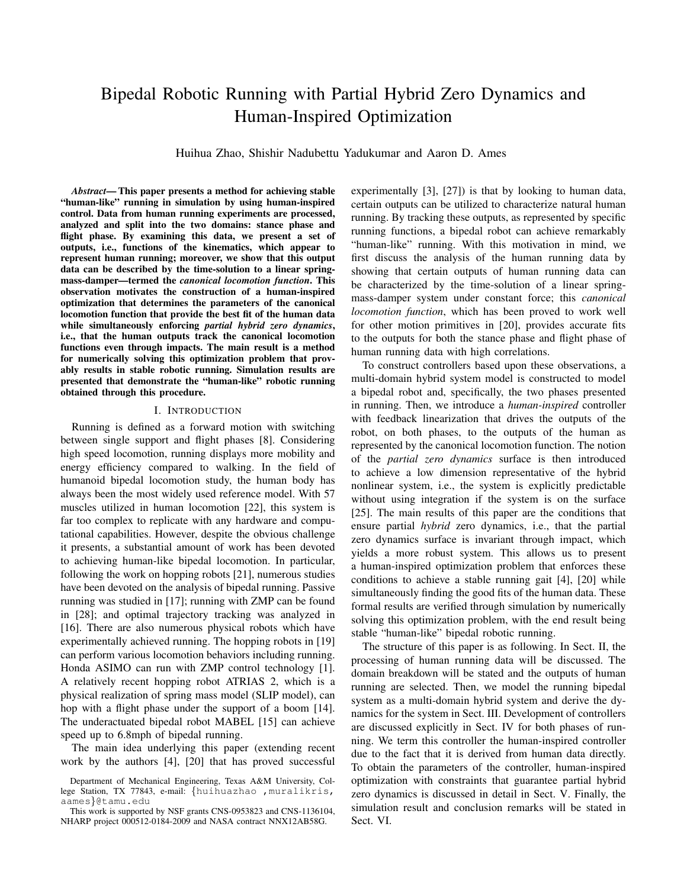# Bipedal Robotic Running with Partial Hybrid Zero Dynamics and Human-Inspired Optimization

Huihua Zhao, Shishir Nadubettu Yadukumar and Aaron D. Ames

*Abstract*— This paper presents a method for achieving stable "human-like" running in simulation by using human-inspired control. Data from human running experiments are processed, analyzed and split into the two domains: stance phase and flight phase. By examining this data, we present a set of outputs, i.e., functions of the kinematics, which appear to represent human running; moreover, we show that this output data can be described by the time-solution to a linear springmass-damper—termed the *canonical locomotion function*. This observation motivates the construction of a human-inspired optimization that determines the parameters of the canonical locomotion function that provide the best fit of the human data while simultaneously enforcing *partial hybrid zero dynamics*, i.e., that the human outputs track the canonical locomotion functions even through impacts. The main result is a method for numerically solving this optimization problem that provably results in stable robotic running. Simulation results are presented that demonstrate the "human-like" robotic running obtained through this procedure.

#### I. INTRODUCTION

Running is defined as a forward motion with switching between single support and flight phases [8]. Considering high speed locomotion, running displays more mobility and energy efficiency compared to walking. In the field of humanoid bipedal locomotion study, the human body has always been the most widely used reference model. With 57 muscles utilized in human locomotion [22], this system is far too complex to replicate with any hardware and computational capabilities. However, despite the obvious challenge it presents, a substantial amount of work has been devoted to achieving human-like bipedal locomotion. In particular, following the work on hopping robots [21], numerous studies have been devoted on the analysis of bipedal running. Passive running was studied in [17]; running with ZMP can be found in [28]; and optimal trajectory tracking was analyzed in [16]. There are also numerous physical robots which have experimentally achieved running. The hopping robots in [19] can perform various locomotion behaviors including running. Honda ASIMO can run with ZMP control technology [1]. A relatively recent hopping robot ATRIAS 2, which is a physical realization of spring mass model (SLIP model), can hop with a flight phase under the support of a boom [14]. The underactuated bipedal robot MABEL [15] can achieve speed up to 6.8mph of bipedal running.

The main idea underlying this paper (extending recent work by the authors [4], [20] that has proved successful experimentally [3], [27]) is that by looking to human data, certain outputs can be utilized to characterize natural human running. By tracking these outputs, as represented by specific running functions, a bipedal robot can achieve remarkably "human-like" running. With this motivation in mind, we first discuss the analysis of the human running data by showing that certain outputs of human running data can be characterized by the time-solution of a linear springmass-damper system under constant force; this *canonical locomotion function*, which has been proved to work well for other motion primitives in [20], provides accurate fits to the outputs for both the stance phase and flight phase of human running data with high correlations.

To construct controllers based upon these observations, a multi-domain hybrid system model is constructed to model a bipedal robot and, specifically, the two phases presented in running. Then, we introduce a *human-inspired* controller with feedback linearization that drives the outputs of the robot, on both phases, to the outputs of the human as represented by the canonical locomotion function. The notion of the *partial zero dynamics* surface is then introduced to achieve a low dimension representative of the hybrid nonlinear system, i.e., the system is explicitly predictable without using integration if the system is on the surface [25]. The main results of this paper are the conditions that ensure partial *hybrid* zero dynamics, i.e., that the partial zero dynamics surface is invariant through impact, which yields a more robust system. This allows us to present a human-inspired optimization problem that enforces these conditions to achieve a stable running gait [4], [20] while simultaneously finding the good fits of the human data. These formal results are verified through simulation by numerically solving this optimization problem, with the end result being stable "human-like" bipedal robotic running.

The structure of this paper is as following. In Sect. II, the processing of human running data will be discussed. The domain breakdown will be stated and the outputs of human running are selected. Then, we model the running bipedal system as a multi-domain hybrid system and derive the dynamics for the system in Sect. III. Development of controllers are discussed explicitly in Sect. IV for both phases of running. We term this controller the human-inspired controller due to the fact that it is derived from human data directly. To obtain the parameters of the controller, human-inspired optimization with constraints that guarantee partial hybrid zero dynamics is discussed in detail in Sect. V. Finally, the simulation result and conclusion remarks will be stated in Sect. VI.

Department of Mechanical Engineering, Texas A&M University, College Station, TX 77843, e-mail: {huihuazhao , muralikris, aames}@tamu.edu

This work is supported by NSF grants CNS-0953823 and CNS-1136104, NHARP project 000512-0184-2009 and NASA contract NNX12AB58G.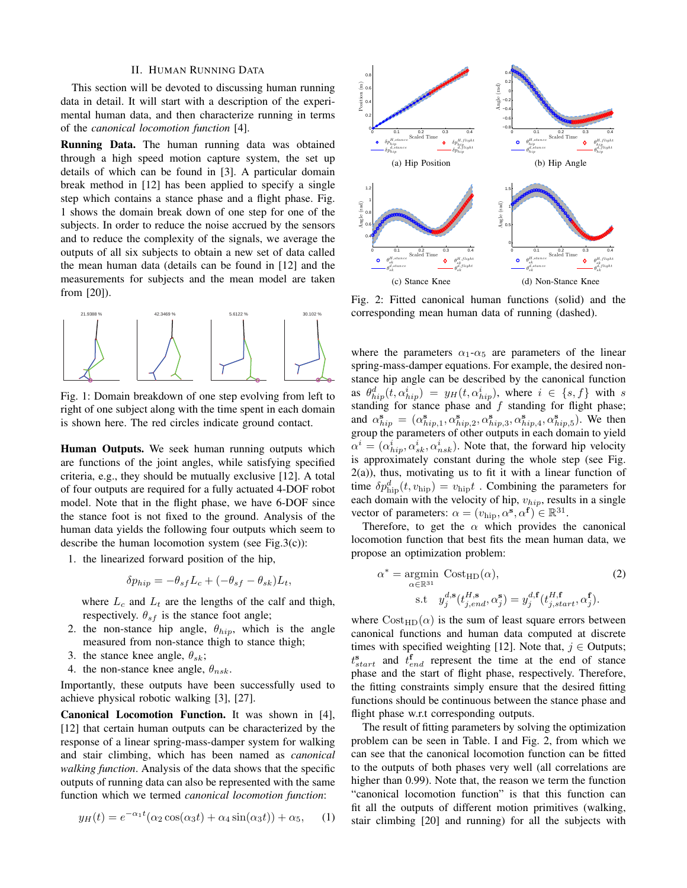#### II. HUMAN RUNNING DATA

This section will be devoted to discussing human running data in detail. It will start with a description of the experimental human data, and then characterize running in terms of the *canonical locomotion function* [4].

Running Data. The human running data was obtained through a high speed motion capture system, the set up details of which can be found in [3]. A particular domain break method in [12] has been applied to specify a single step which contains a stance phase and a flight phase. Fig. 1 shows the domain break down of one step for one of the subjects. In order to reduce the noise accrued by the sensors and to reduce the complexity of the signals, we average the outputs of all six subjects to obtain a new set of data called the mean human data (details can be found in [12] and the measurements for subjects and the mean model are taken from [20]). (a) Higher and was been the set of the set of the set of the set of the set of the set of the set of the set of the set of the set of the set of the set of the set of the set of the set of the set of the set of the set of



Fig. 1: Domain breakdown of one step evolving from left to right of one subject along with the time spent in each domain is shown here. The red circles indicate ground contact.

Human Outputs. We seek human running outputs which are functions of the joint angles, while satisfying specified criteria, e.g., they should be mutually exclusive [12]. A total of four outputs are required for a fully actuated 4-DOF robot model. Note that in the flight phase, we have 6-DOF since the stance foot is not fixed to the ground. Analysis of the human data yields the following four outputs which seem to describe the human locomotion system (see Fig.3(c)):

1. the linearized forward position of the hip,

$$
\delta p_{hip} = -\theta_{sf} L_c + (-\theta_{sf} - \theta_{sk}) L_t,
$$

where  $L_c$  and  $L_t$  are the lengths of the calf and thigh, respectively.  $\theta_{sf}$  is the stance foot angle;

- 2. the non-stance hip angle,  $\theta_{hip}$ , which is the angle measured from non-stance thigh to stance thigh;
- 3. the stance knee angle,  $\theta_{sk}$ ;
- 4. the non-stance knee angle,  $\theta_{nsk}$ .

Importantly, these outputs have been successfully used to achieve physical robotic walking [3], [27].

Canonical Locomotion Function. It was shown in [4], [12] that certain human outputs can be characterized by the response of a linear spring-mass-damper system for walking and stair climbing, which has been named as *canonical walking function*. Analysis of the data shows that the specific outputs of running data can also be represented with the same function which we termed *canonical locomotion function*:

$$
y_H(t) = e^{-\alpha_1 t} (\alpha_2 \cos(\alpha_3 t) + \alpha_4 \sin(\alpha_3 t)) + \alpha_5, \quad (1)
$$



Fig. 2: Fitted canonical human functions (solid) and the corresponding mean human data of running (dashed).

where the parameters  $\alpha_1$ - $\alpha_5$  are parameters of the linear spring-mass-damper equations. For example, the desired nonstance hip angle can be described by the canonical function as  $\theta_{hip}^d(t, \alpha_{hip}^i) = y_H(t, \alpha_{hip}^i)$ , where  $i \in \{s, f\}$  with s standing for stance phase and  $f$  standing for flight phase; and  $\alpha_{hip}^s = (\alpha_{hip,1}^s, \alpha_{hip,2}^s, \alpha_{hip,3}^s, \alpha_{hip,4}^s, \alpha_{hip,5}^s)$ . We then group the parameters of other outputs in each domain to yield  $\alpha^i = (\alpha_{hip}^i, \alpha_{sk}^i, \alpha_{nsk}^i)$ . Note that, the forward hip velocity is approximately constant during the whole step (see Fig. 2(a)), thus, motivating us to fit it with a linear function of time  $\delta p_{\rm hip}^d(t, v_{\rm hip}) = v_{\rm hip} t$ . Combining the parameters for each domain with the velocity of hip,  $v_{hip}$ , results in a single vector of parameters:  $\alpha = (v_{\text{hip}}, \alpha^{\text{s}}, \alpha^{\text{f}}) \in \mathbb{R}^{31}$ .

Therefore, to get the  $\alpha$  which provides the canonical locomotion function that best fits the mean human data, we propose an optimization problem:

$$
\alpha^* = \underset{\alpha \in \mathbb{R}^{31}}{\operatorname{argmin}} \ \text{Cost}_{\text{HD}}(\alpha), \tag{2}
$$
  
s.t  $y_j^{d,s}(t_{j,end}^{H,s}, \alpha_j^s) = y_j^{d,\mathbf{f}}(t_{j,start}^{H,\mathbf{f}}, \alpha_j^{\mathbf{f}}).$ 

where  $Cost<sub>HD</sub>(\alpha)$  is the sum of least square errors between canonical functions and human data computed at discrete times with specified weighting [12]. Note that,  $j \in$  Outputs;  $t_{start}^s$  and  $t_{end}^f$  represent the time at the end of stance phase and the start of flight phase, respectively. Therefore, the fitting constraints simply ensure that the desired fitting functions should be continuous between the stance phase and flight phase w.r.t corresponding outputs.

The result of fitting parameters by solving the optimization problem can be seen in Table. I and Fig. 2, from which we can see that the canonical locomotion function can be fitted to the outputs of both phases very well (all correlations are higher than 0.99). Note that, the reason we term the function "canonical locomotion function" is that this function can fit all the outputs of different motion primitives (walking, stair climbing [20] and running) for all the subjects with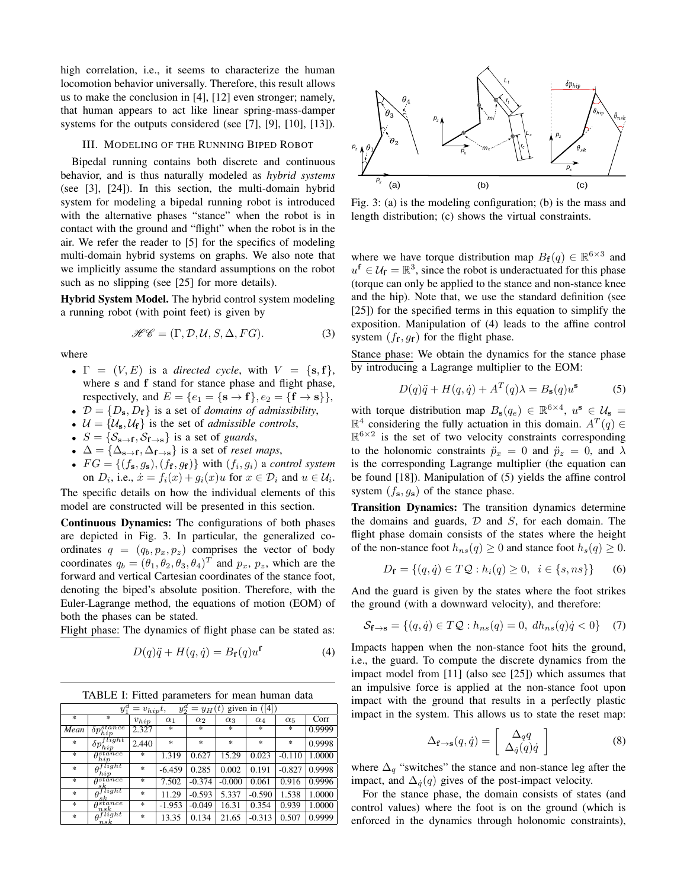high correlation, *i.e.*, it seems to characterize the human locomotion behavior universally. Therefore, this result allows us to make the conclusion in [4], [12] even stronger; namely, that human appears to act like linear spring-mass-damper systems for the outputs considered (see [7], [9], [10], [13]).

#### III. MODELING OF THE RUNNING BIPED ROBOT

Bipedal running contains both discrete and continuous behavior, and is thus naturally modeled as *hybrid systems* (see [3], [24]). In this section, the multi-domain hybrid system for modeling a bipedal running robot is introduced with the alternative phases "stance" when the robot is in contact with the ground and "flight" when the robot is in the air. We refer the reader to [5] for the specifics of modeling multi-domain hybrid systems on graphs. We also note that we implicitly assume the standard assumptions on the robot such as no slipping (see [25] for more details).

Hybrid System Model. The hybrid control system modeling a running robot (with point feet) is given by

$$
\mathcal{H}\mathcal{C} = (\Gamma, \mathcal{D}, \mathcal{U}, S, \Delta, FG). \tag{3}
$$

where

- $\Gamma = (V, E)$  is a *directed cycle*, with  $V = \{s, f\},\$ where s and f stand for stance phase and flight phase, respectively, and  $E = \{e_1 = \{\mathbf{s} \to \mathbf{f}\}, e_2 = \{\mathbf{f} \to \mathbf{s}\}\}\,$
- $\mathcal{D} = \{D_s, D_f\}$  is a set of *domains of admissibility*,
- $\mathcal{U} = {\mathcal{U}_s, \mathcal{U}_f}$  is the set of *admissible controls*,
- $S = \{S_{\mathbf{s}\to\mathbf{f}}, S_{\mathbf{f}\to\mathbf{s}}\}$  is a set of *guards*,
- $\Delta = {\Delta_{\mathbf{s}\to\mathbf{f}}}, {\Delta_{\mathbf{f}\to\mathbf{s}}}$  is a set of *reset maps*,
- $FG = \{(f_s, g_s), (f_f, g_f)\}\$  with  $(f_i, g_i)$  a *control system* on  $D_i$ , i.e.,  $\dot{x} = f_i(x) + g_i(x)u$  for  $x \in \mathcal{D}_i$  and  $u \in \mathcal{U}_i$ .

The specific details on how the individual elements of this model are constructed will be presented in this section.

Continuous Dynamics: The configurations of both phases are depicted in Fig. 3. In particular, the generalized coordinates  $q = (q_b, p_x, p_z)$  comprises the vector of body coordinates  $q_b = (\theta_1, \theta_2, \theta_3, \theta_4)^T$  and  $p_x, p_z$ , which are the forward and vertical Cartesian coordinates of the stance foot, denoting the biped's absolute position. Therefore, with the Euler-Lagrange method, the equations of motion (EOM) of both the phases can be stated.

Flight phase: The dynamics of flight phase can be stated as:

$$
D(q)\ddot{q} + H(q, \dot{q}) = B_{\mathbf{f}}(q)u^{\mathbf{f}} \tag{4}
$$

TABLE I: Fitted parameters for mean human data

| . .                                                                       |                                                                          |               |               |               |               |               |               |        |  |  |  |  |
|---------------------------------------------------------------------------|--------------------------------------------------------------------------|---------------|---------------|---------------|---------------|---------------|---------------|--------|--|--|--|--|
| given in $([4])$<br>$= y_H(t)$<br>$y_1^c$<br>$= v_{hip}t,$<br>$y_2^{\mu}$ |                                                                          |               |               |               |               |               |               |        |  |  |  |  |
| $*$                                                                       | 宋                                                                        | $v_{hip}$     | $\alpha_1$    | $\alpha_2$    | $\alpha_3$    | $\alpha_4$    | $\alpha_5$    | Corr   |  |  |  |  |
| Mean                                                                      | stance<br>$+\bar{\delta p}_{hip}^{s}$                                    | 2.327         | $*$           | 冰             | $*$           | $\ast$        | $\ast$        | 0.9999 |  |  |  |  |
| $\ast$                                                                    | flipht<br>$\phantom{.}^{\shortmid }\delta p_{\underline{hip}}^{\prime }$ | 2.440         | $\frac{1}{2}$ | $\frac{1}{2}$ | $\frac{1}{2}$ | $\frac{1}{2}$ | $\frac{1}{2}$ | 0.9998 |  |  |  |  |
| $\frac{1}{2}$                                                             | $\overline{\theta_{hip}^{stance}}$                                       | $\frac{1}{2}$ | 1.319         | 0.627         | 15.29         | 0.023         | $-0.110$      | 1.0000 |  |  |  |  |
| $\frac{1}{2}$                                                             | $\theta$ <sup>flight</sup><br>hip                                        | $\frac{1}{2}$ | $-6.459$      | 0.285         | 0.002         | 0.191         | $-0.827$      | 0.9998 |  |  |  |  |
| $\frac{1}{2}$                                                             | $\theta^{\overline{stance}}$<br>$_{sk}$                                  | $\frac{1}{2}$ | 7.502         | $-0.374$      | $-0.000$      | 0.061         | 0.916         | 0.9996 |  |  |  |  |
| $\frac{1}{2}$                                                             | $\theta^{flight}$<br>sk.                                                 | $\frac{1}{2}$ | 11.29         | $-0.593$      | 5.337         | $-0.590$      | 1.538         | 1.0000 |  |  |  |  |
| $\frac{1}{2}$                                                             | $\overline{\theta^{stance}}$                                             | $\frac{1}{2}$ | $-1.953$      | $-0.049$      | 16.31         | 0.354         | 0.939         | 1.0000 |  |  |  |  |
| $\ast$                                                                    | $\frac{\nu_{nsk}}{\theta}$<br>n s k                                      | $\frac{1}{2}$ | 13.35         | 0.134         | 21.65         | $-0.313$      | 0.507         | 0.9999 |  |  |  |  |



Fig. 3: (a) is the modeling configuration; (b) is the mass and length distribution; (c) shows the virtual constraints.

where we have torque distribution map  $B_f(q) \in \mathbb{R}^{6 \times 3}$  and  $u^{\mathbf{f}} \in \mathcal{U}_{\mathbf{f}} = \mathbb{R}^3$ , since the robot is underactuated for this phase (torque can only be applied to the stance and non-stance knee and the hip). Note that, we use the standard definition (see [25]) for the specified terms in this equation to simplify the exposition. Manipulation of (4) leads to the affine control system  $(f_{\mathbf{f}}, g_{\mathbf{f}})$  for the flight phase.

Stance phase: We obtain the dynamics for the stance phase by introducing a Lagrange multiplier to the EOM:

$$
D(q)\ddot{q} + H(q, \dot{q}) + A^T(q)\lambda = B_s(q)u^s \tag{5}
$$

with torque distribution map  $B_{s}(q_e) \in \mathbb{R}^{6 \times 4}$ ,  $u^s \in \mathcal{U}_s$  $\mathbb{R}^4$  considering the fully actuation in this domain.  $A^T(q) \in$  $\mathbb{R}^{6\times 2}$  is the set of two velocity constraints corresponding to the holonomic constraints  $\ddot{p}_x = 0$  and  $\ddot{p}_z = 0$ , and  $\lambda$ is the corresponding Lagrange multiplier (the equation can be found [18]). Manipulation of (5) yields the affine control system  $(f_s, g_s)$  of the stance phase.

Transition Dynamics: The transition dynamics determine the domains and guards,  $D$  and  $S$ , for each domain. The flight phase domain consists of the states where the height of the non-stance foot  $h_{ns}(q) \ge 0$  and stance foot  $h_s(q) \ge 0$ .

$$
D_{\mathbf{f}} = \{(q, \dot{q}) \in T\mathcal{Q} : h_i(q) \ge 0, \ i \in \{s, ns\}\}\
$$
(6)

And the guard is given by the states where the foot strikes the ground (with a downward velocity), and therefore:

$$
\mathcal{S}_{\mathbf{f}\to\mathbf{s}} = \{ (q,\dot{q}) \in T\mathcal{Q} : h_{ns}(q) = 0, dh_{ns}(q)\dot{q} < 0 \} \tag{7}
$$

Impacts happen when the non-stance foot hits the ground, i.e., the guard. To compute the discrete dynamics from the impact model from [11] (also see [25]) which assumes that an impulsive force is applied at the non-stance foot upon impact with the ground that results in a perfectly plastic impact in the system. This allows us to state the reset map:

$$
\Delta_{\mathbf{f}\to\mathbf{s}}(q,\dot{q}) = \left[\begin{array}{c} \Delta_q q\\ \Delta_{\dot{q}}(q)\dot{q} \end{array}\right]
$$
(8)

where  $\Delta_q$  "switches" the stance and non-stance leg after the impact, and  $\Delta_{\dot{q}}(q)$  gives of the post-impact velocity.

For the stance phase, the domain consists of states (and control values) where the foot is on the ground (which is enforced in the dynamics through holonomic constraints),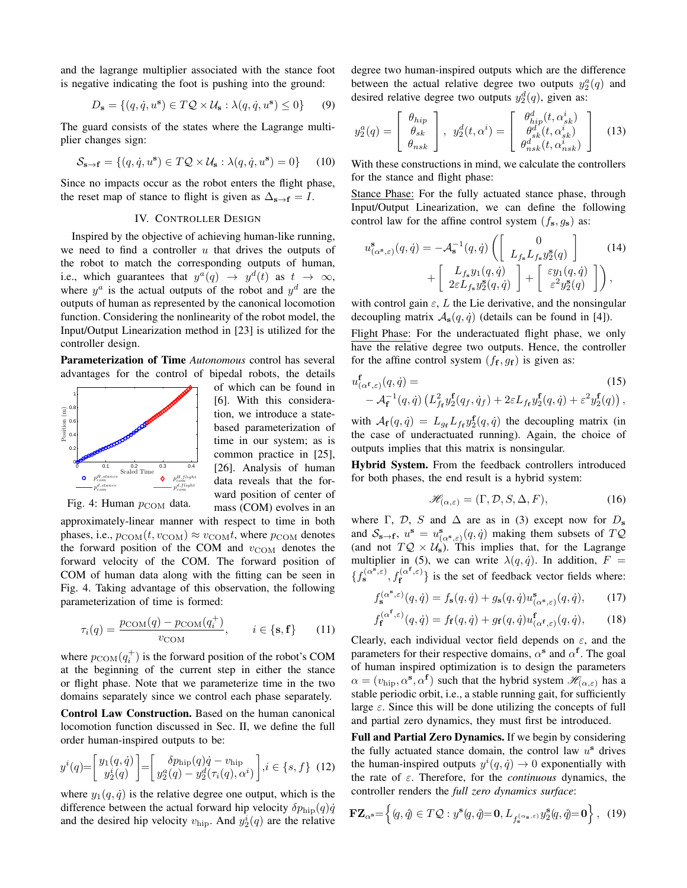and the lagrange multiplier associated with the stance foot is negative indicating the foot is pushing into the ground:

$$
D_{\mathbf{s}} = \{ (q, \dot{q}, u^{\mathbf{s}}) \in T\mathcal{Q} \times \mathcal{U}_{\mathbf{s}} : \lambda(q, \dot{q}, u^{\mathbf{s}}) \le 0 \} \qquad (9)
$$

The guard consists of the states where the Lagrange multiplier changes sign:

$$
\mathcal{S}_{\mathbf{s}\to\mathbf{f}} = \{ (q, \dot{q}, u^{\mathbf{s}}) \in T\mathcal{Q} \times \mathcal{U}_{\mathbf{s}} : \lambda(q, \dot{q}, u^{\mathbf{s}}) = 0 \} \tag{10}
$$

Since no impacts occur as the robot enters the flight phase, the reset map of stance to flight is given as  $\Delta_{s\rightarrow f} = I$ .

#### IV. CONTROLLER DESIGN

Inspired by the objective of achieving human-like running, we need to find a controller  $u$  that drives the outputs of the robot to match the corresponding outputs of human, i.e., which guarantees that  $y^a(q) \rightarrow y^d(t)$  as  $t \rightarrow \infty$ , where  $y^a$  is the actual outputs of the robot and  $y^d$  are the outputs of human as represented by the canonical locomotion function. Considering the nonlinearity of the robot model, the Input/Output Linearization method in [23] is utilized for the controller design.

Parameterization of Time *Autonomous* control has several advantages for the control of bipedal robots, the details



of which can be found in [6]. With this consideration, we introduce a statebased parameterization of time in our system; as is common practice in [25], [26]. Analysis of human data reveals that the forward position of center of mass (COM) evolves in an

Fig. 4: Human  $p_{\text{COM}}$  data.

approximately-linear manner with respect to time in both phases, i.e.,  $p_{COM}(t, v_{COM}) \approx v_{COM}t$ , where  $p_{COM}$  denotes the forward position of the COM and  $v_{COM}$  denotes the forward velocity of the COM. The forward position of COM of human data along with the fitting can be seen in Fig. 4. Taking advantage of this observation, the following parameterization of time is formed:

$$
\tau_i(q) = \frac{p_{\text{COM}}(q) - p_{\text{COM}}(q_i^+)}{v_{\text{COM}}}, \qquad i \in \{\mathbf{s}, \mathbf{f}\} \tag{11}
$$

where  $p_{COM}(q_i^+)$  is the forward position of the robot's COM at the beginning of the current step in either the stance or flight phase. Note that we parameterize time in the two domains separately since we control each phase separately.

Control Law Construction. Based on the human canonical locomotion function discussed in Sec. II, we define the full order human-inspired outputs to be:

$$
y^{i}(q) = \begin{bmatrix} y_{1}(q, \dot{q}) \\ y_{2}^{i}(q) \end{bmatrix} = \begin{bmatrix} \delta p_{\text{hip}}(q) \dot{q} - v_{\text{hip}} \\ y_{2}^{a}(q) - y_{2}^{d}(\tau_{i}(q), \alpha^{i}) \end{bmatrix}, i \in \{s, f\} \tag{12}
$$

where  $y_1(q, \dot{q})$  is the relative degree one output, which is the difference between the actual forward hip velocity  $\delta p_{\text{hip}}(q) \dot{q}$ and the desired hip velocity  $v_{\text{hip}}$ . And  $y_2^i(q)$  are the relative

degree two human-inspired outputs which are the difference between the actual relative degree two outputs  $y_2^a(q)$  and desired relative degree two outputs  $y_2^d(q)$ , given as:

$$
y_2^a(q) = \begin{bmatrix} \theta_{hip} \\ \theta_{sk} \\ \theta_{nsk} \end{bmatrix}, \ y_2^d(t, \alpha^i) = \begin{bmatrix} \theta_{hip}^d(t, \alpha_{sk}^i) \\ \theta_{sk}^d(t, \alpha_{sk}^i) \\ \theta_{nsk}^d(t, \alpha_{nsk}^i) \end{bmatrix}
$$
(13)

With these constructions in mind, we calculate the controllers for the stance and flight phase:

Stance Phase: For the fully actuated stance phase, through Input/Output Linearization, we can define the following control law for the affine control system  $(f_s, g_s)$  as:

$$
u_{(\alpha^{\mathbf{s}},\varepsilon)}^{\mathbf{s}}(q,\dot{q}) = -\mathcal{A}_{\mathbf{s}}^{-1}(q,\dot{q}) \left( \begin{bmatrix} 0 \\ L_{f_{\mathbf{s}}}L_{f_{\mathbf{s}}}y_2^{\mathbf{s}}(q) \end{bmatrix} \right) \qquad (14)
$$

$$
+ \begin{bmatrix} L_{f_{\mathbf{s}}}y_1(q,\dot{q}) \\ 2\varepsilon L_{f_{\mathbf{s}}}y_2^{\mathbf{s}}(q,\dot{q}) \end{bmatrix} + \begin{bmatrix} \varepsilon y_1(q,\dot{q}) \\ \varepsilon^2 y_2^{\mathbf{s}}(q) \end{bmatrix} \right),
$$

with control gain  $\varepsilon$ , L the Lie derivative, and the nonsingular decoupling matrix  $A_s(q, \dot{q})$  (details can be found in [4]).

Flight Phase: For the underactuated flight phase, we only have the relative degree two outputs. Hence, the controller for the affine control system  $(f_f, g_f)$  is given as:

$$
u_{(\alpha^f, \varepsilon)}^{\mathbf{f}}(q, \dot{q}) =
$$
  
-  $\mathcal{A}_{\mathbf{f}}^{-1}(q, \dot{q}) \left( L_{f_{\mathbf{f}}}^2 y_2^{\mathbf{f}}(q_f, \dot{q}_f) + 2\varepsilon L_{f_{\mathbf{f}}} y_2^{\mathbf{f}}(q, \dot{q}) + \varepsilon^2 y_2^{\mathbf{f}}(q) \right),$ 

with  $A_f(q, \dot{q}) = L_{g_f} L_{f_f} y_2^f(q, \dot{q})$  the decoupling matrix (in the case of underactuated running). Again, the choice of outputs implies that this matrix is nonsingular.

Hybrid System. From the feedback controllers introduced for both phases, the end result is a hybrid system:

$$
\mathcal{H}_{(\alpha,\varepsilon)} = (\Gamma, \mathcal{D}, S, \Delta, F), \tag{16}
$$

where  $\Gamma$ ,  $\mathcal{D}$ ,  $S$  and  $\Delta$  are as in (3) except now for  $D_s$ and  $S_{\mathbf{s}\to\mathbf{f}}$ ,  $u^{\mathbf{s}} = u^{\mathbf{s}}_{(\alpha^{\mathbf{s}},\varepsilon)}(q,\dot{q})$  making them subsets of  $TQ$ (and not  $TQ \times U_s$ ). This implies that, for the Lagrange multiplier in (5), we can write  $\lambda(q, \dot{q})$ . In addition,  $F =$  $\{f_s^{(\alpha^s,\varepsilon)}, f_f^{(\alpha^f,\varepsilon)}\}$  is the set of feedback vector fields where:

$$
f_{\mathbf{s}}^{(\alpha^{\mathbf{s}},\varepsilon)}(q,\dot{q}) = f_{\mathbf{s}}(q,\dot{q}) + g_{\mathbf{s}}(q,\dot{q})u_{(\alpha^{\mathbf{s}},\varepsilon)}^{\mathbf{s}}(q,\dot{q}),\qquad(17)
$$

$$
f_{\mathbf{f}}^{(\alpha^{\mathbf{f}},\varepsilon)}(q,\dot{q}) = f_{\mathbf{f}}(q,\dot{q}) + g_{\mathbf{f}}(q,\dot{q}) u_{(\alpha^{\mathbf{f}},\varepsilon)}^{\mathbf{f}}(q,\dot{q}),\qquad(18)
$$

Clearly, each individual vector field depends on  $\varepsilon$ , and the parameters for their respective domains,  $\alpha^s$  and  $\alpha^f$ . The goal of human inspired optimization is to design the parameters  $\alpha = (v_{\text{hip}}, \alpha^{\text{s}}, \alpha^{\text{f}})$  such that the hybrid system  $\mathcal{H}_{(\alpha,\varepsilon)}$  has a stable periodic orbit, i.e., a stable running gait, for sufficiently large  $\varepsilon$ . Since this will be done utilizing the concepts of full and partial zero dynamics, they must first be introduced.

Full and Partial Zero Dynamics. If we begin by considering the fully actuated stance domain, the control law  $u^s$  drives the human-inspired outputs  $y^{i}(q, \dot{q}) \rightarrow 0$  exponentially with the rate of ε. Therefore, for the *continuous* dynamics, the controller renders the *full zero dynamics surface*:

$$
\mathbf{FZ}_{\alpha^{\mathbf{s}}} = \left\{ (q, \hat{q}) \in T\mathcal{Q} : y^{\mathbf{s}}(q, \hat{q}) = \mathbf{0}, L_{f_{\mathbf{s}}^{(\alpha_{\mathbf{s}}, \varepsilon)}} y_2^{\mathbf{s}}(q, \hat{q}) = \mathbf{0} \right\}, (19)
$$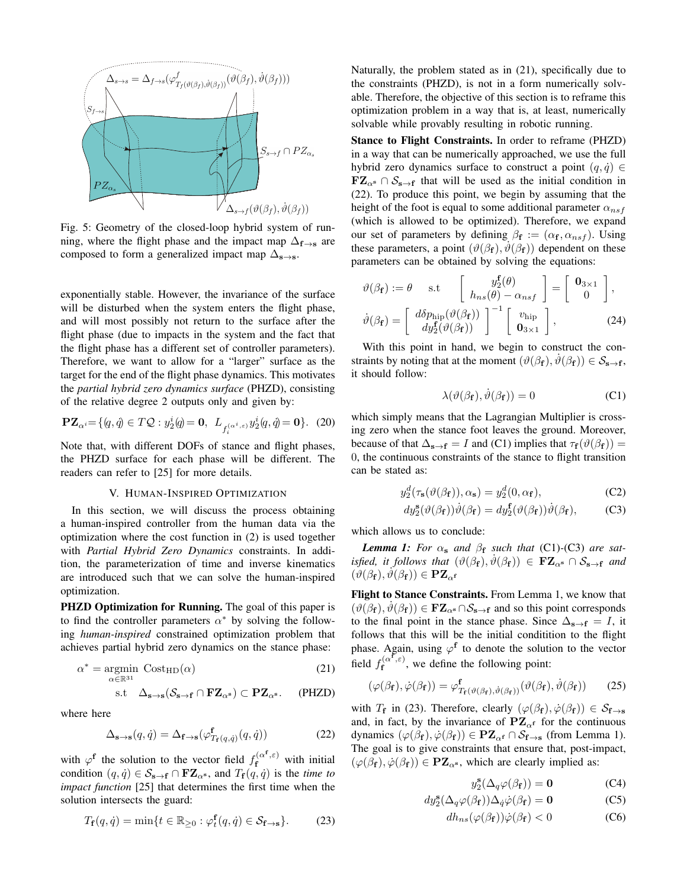

Fig. 5: Geometry of the closed-loop hybrid system of running, where the flight phase and the impact map  $\Delta_{f\rightarrow s}$  are composed to form a generalized impact map  $\Delta_{s\rightarrow s}$ .

exponentially stable. However, the invariance of the surface will be disturbed when the system enters the flight phase, and will most possibly not return to the surface after the flight phase (due to impacts in the system and the fact that the flight phase has a different set of controller parameters). Therefore, we want to allow for a "larger" surface as the target for the end of the flight phase dynamics. This motivates the *partial hybrid zero dynamics surface* (PHZD), consisting of the relative degree 2 outputs only and given by:

$$
\mathbf{PZ}_{\alpha} = \{ (q, \hat{q}) \in T\mathcal{Q} : y_2^i(q) = \mathbf{0}, \ L_{f_i^{(\alpha^i, \varepsilon)}} y_2^i(q, \hat{q}) = \mathbf{0} \}. \tag{20}
$$

Note that, with different DOFs of stance and flight phases, the PHZD surface for each phase will be different. The readers can refer to [25] for more details.

### V. HUMAN-INSPIRED OPTIMIZATION

In this section, we will discuss the process obtaining a human-inspired controller from the human data via the optimization where the cost function in (2) is used together with *Partial Hybrid Zero Dynamics* constraints. In addition, the parameterization of time and inverse kinematics are introduced such that we can solve the human-inspired optimization.

PHZD Optimization for Running. The goal of this paper is to find the controller parameters  $\alpha^*$  by solving the following *human-inspired* constrained optimization problem that achieves partial hybrid zero dynamics on the stance phase:

$$
\alpha^* = \underset{\alpha \in \mathbb{R}^{31}}{\operatorname{argmin}} \ \mathrm{Cost}_{\mathrm{HD}}(\alpha) \tag{21}
$$

$$
\quad \ \ \text{s.t} \quad \Delta_{s\to s}(\mathcal{S}_{s\to f}\cap FZ_{\alpha^s})\subset PZ_{\alpha^s}. \quad \ \ (\text{PHZD})
$$

where here

$$
\Delta_{\mathbf{s}\to\mathbf{s}}(q,\dot{q}) = \Delta_{\mathbf{f}\to\mathbf{s}}(\varphi^{\mathbf{f}}_{T_{\mathbf{f}}(q,\dot{q})}(q,\dot{q})) \tag{22}
$$

with  $\varphi^f$  the solution to the vector field  $f_f^{(\alpha^f, \varepsilon)}$  with initial condition  $(q, \dot{q}) \in S_{\mathbf{s} \to \mathbf{f}} \cap \mathbf{FZ}_{\alpha^{\mathbf{s}}}$ , and  $T_{\mathbf{f}}(q, \dot{q})$  is the *time to impact function* [25] that determines the first time when the solution intersects the guard:

$$
T_{\mathbf{f}}(q, \dot{q}) = \min\{t \in \mathbb{R}_{\geq 0} : \varphi_t^{\mathbf{f}}(q, \dot{q}) \in \mathcal{S}_{\mathbf{f} \to \mathbf{s}}\}.
$$
 (23)

Naturally, the problem stated as in (21), specifically due to the constraints (PHZD), is not in a form numerically solvable. Therefore, the objective of this section is to reframe this optimization problem in a way that is, at least, numerically solvable while provably resulting in robotic running.

Stance to Flight Constraints. In order to reframe (PHZD) in a way that can be numerically approached, we use the full hybrid zero dynamics surface to construct a point  $(q, \dot{q}) \in$  ${\bf FZ}_{\alpha^s} \cap \mathcal{S}_{s \to f}$  that will be used as the initial condition in (22). To produce this point, we begin by assuming that the height of the foot is equal to some additional parameter  $\alpha_{nsf}$ (which is allowed to be optimized). Therefore, we expand our set of parameters by defining  $\beta_f := (\alpha_f, \alpha_{nsf})$ . Using these parameters, a point  $(\vartheta(\beta_f), \vartheta(\beta_f))$  dependent on these parameters can be obtained by solving the equations:

$$
\vartheta(\beta_{\mathbf{f}}) := \theta \quad \text{s.t} \quad \begin{bmatrix} y_2^{\mathbf{f}}(\theta) \\ h_{ns}(\theta) - \alpha_{nsf} \end{bmatrix} = \begin{bmatrix} \mathbf{0}_{3 \times 1} \\ 0 \end{bmatrix},
$$

$$
\dot{\vartheta}(\beta_{\mathbf{f}}) = \begin{bmatrix} d\delta p_{\text{hip}}(\vartheta(\beta_{\mathbf{f}})) \\ dy_2^{\mathbf{f}}(\vartheta(\beta_{\mathbf{f}})) \end{bmatrix}^{-1} \begin{bmatrix} v_{\text{hip}} \\ \mathbf{0}_{3 \times 1} \end{bmatrix},
$$
(24)

 $\epsilon$ 

With this point in hand, we begin to construct the constraints by noting that at the moment  $(\vartheta(\beta_f), \dot{\vartheta}(\beta_f)) \in \mathcal{S}_{s \to f}$ , it should follow:

$$
\lambda(\vartheta(\beta_{\mathbf{f}}), \dot{\vartheta}(\beta_{\mathbf{f}})) = 0 \tag{C1}
$$

which simply means that the Lagrangian Multiplier is crossing zero when the stance foot leaves the ground. Moreover, because of that  $\Delta_{\mathbf{s}\to\mathbf{f}} = I$  and (C1) implies that  $\tau_{\mathbf{f}}(\vartheta(\beta_{\mathbf{f}})) =$ 0, the continuous constraints of the stance to flight transition can be stated as:

$$
y_2^d(\tau_\mathbf{s}(\vartheta(\beta_\mathbf{f})), \alpha_\mathbf{s}) = y_2^d(0, \alpha_\mathbf{f}), \tag{C2}
$$

$$
dy_2^{\mathbf{s}}(\vartheta(\beta_{\mathbf{f}}))\dot{\vartheta}(\beta_{\mathbf{f}}) = dy_2^{\mathbf{f}}(\vartheta(\beta_{\mathbf{f}}))\dot{\vartheta}(\beta_{\mathbf{f}}), \qquad (C3)
$$

which allows us to conclude:

*Lemma 1: For*  $\alpha_s$  *and*  $\beta_f$  *such that* (C1)-(C3) *are satisfied, it follows that*  $(\vartheta(\beta_f), \vartheta(\beta_f)) \in \mathbf{FZ}_{\alpha^s} \cap \mathcal{S}_{s \to f}$  *and*  $(\vartheta(\beta_{\mathbf{f}}), \vartheta(\beta_{\mathbf{f}})) \in \mathbf{PZ}_{\alpha^{\mathbf{f}}}$ 

Flight to Stance Constraints. From Lemma 1, we know that  $(\vartheta(\beta_f), \vartheta(\beta_f)) \in \mathbf{FZ}_{\alpha^s} \cap \mathcal{S}_{s \to f}$  and so this point corresponds to the final point in the stance phase. Since  $\Delta_{s\to f} = I$ , it follows that this will be the initial conditition to the flight phase. Again, using  $\varphi^f$  to denote the solution to the vector field  $f_f^{(\alpha^f,\epsilon)}$ , we define the following point:

$$
(\varphi(\beta_{\mathbf{f}}), \dot{\varphi}(\beta_{\mathbf{f}})) = \varphi^{\mathbf{f}}_{T_{\mathbf{f}}(\vartheta(\beta_{\mathbf{f}}), \dot{\vartheta}(\beta_{\mathbf{f}}))}(\vartheta(\beta_{\mathbf{f}}), \dot{\vartheta}(\beta_{\mathbf{f}})) \qquad (25)
$$

with  $T_f$  in (23). Therefore, clearly  $(\varphi(\beta_f), \dot{\varphi}(\beta_f)) \in \mathcal{S}_{f \to s}$ and, in fact, by the invariance of  $PZ_{\alpha}$  for the continuous dynamics  $(\varphi(\beta_f), \dot{\varphi}(\beta_f)) \in P\mathbb{Z}_{\alpha^f} \cap \mathcal{S}_{f \to s}$  (from Lemma 1). The goal is to give constraints that ensure that, post-impact,  $(\varphi(\beta_f), \dot{\varphi}(\beta_f)) \in P\mathbb{Z}_{\alpha^s}$ , which are clearly implied as:

$$
y_2^{\mathbf{s}}(\Delta_q \varphi(\beta_{\mathbf{f}})) = \mathbf{0}
$$
 (C4)

$$
dy_2^{\mathbf{s}}(\Delta_q \varphi(\beta_{\mathbf{f}}))\Delta_{\dot{q}}\dot{\varphi}(\beta_{\mathbf{f}}) = \mathbf{0}
$$
 (C5)

$$
dh_{ns}(\varphi(\beta_{\mathbf{f}}))\dot{\varphi}(\beta_{\mathbf{f}}) < 0 \tag{C6}
$$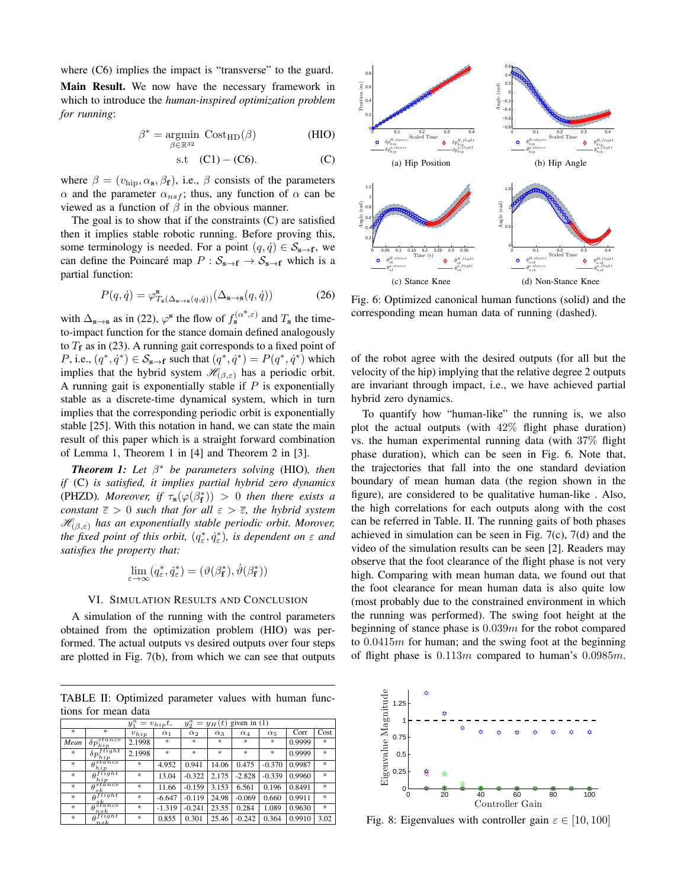where  $(C6)$  implies the impact is "transverse" to the guard. Main Result. We now have the necessary framework in which to introduce the *human-inspired optimization problem for running*:

$$
\beta^* = \underset{\beta \in \mathbb{R}^{32}}{\text{argmin }} \text{Cost}_{HD}(\beta) \tag{HIO}
$$

s.t 
$$
(C1) - (C6)
$$
. (C)

where  $\beta = (v_{\text{hip}}, \alpha_s, \beta_f)$ , i.e.,  $\beta$  consists of the parameters  $\alpha$  and the parameter  $\alpha_{nsf}$ ; thus, any function of  $\alpha$  can be viewed as a function of  $\beta$  in the obvious manner.

The goal is to show that if the constraints (C) are satisfied then it implies stable robotic running. Before proving this, some terminology is needed. For a point  $(q, \dot{q}) \in S_{s \to f}$ , we can define the Poincaré map  $P : S_{s\to f} \to S_{s\to f}$  which is a partial function:

$$
P(q, \dot{q}) = \varphi_{T_s(\Delta_{\mathbf{s}\to\mathbf{s}}(q, \dot{q}))}^{\mathbf{s}}(\Delta_{\mathbf{s}\to\mathbf{s}}(q, \dot{q}))
$$
(26)

with  $\Delta_{\mathbf{s}\to\mathbf{s}}$  as in (22),  $\varphi^{\mathbf{s}}$  the flow of  $f_{\mathbf{s}}^{(\alpha^{\mathbf{s}},\varepsilon)}$  and  $T_{\mathbf{s}}$  the timeto-impact function for the stance domain defined analogously to  $T_f$  as in (23). A running gait corresponds to a fixed point of P, i.e.,  $(q^*, \dot{q}^*) \in S_{\mathbf{s} \to \mathbf{f}}$  such that  $(q^*, \dot{q}^*) = P(q^*, \dot{q}^*)$  which implies that the hybrid system  $\mathcal{H}_{(\beta,\varepsilon)}$  has a periodic orbit. A running gait is exponentially stable if  $P$  is exponentially stable as a discrete-time dynamical system, which in turn implies that the corresponding periodic orbit is exponentially stable [25]. With this notation in hand, we can state the main result of this paper which is a straight forward combination of Lemma 1, Theorem 1 in [4] and Theorem 2 in [3].  $S^2 = \frac{1}{\sqrt{2\pi}}$  (3.8) (4.10) (4.10) (4.10) (4.10) (4.10) (4.10) (4.10) (4.10) (4.10) (4.10) (4.10) (4.10) (4.10) (4.10) (4.10) (4.10) (4.10) (4.10) (4.10) (4.10) (4.10) (4.10) (4.10) (4.10) (4.10) (4.10) (4.10) (4.10

*Theorem 1: Let* β <sup>∗</sup> *be parameters solving* (HIO)*, then if* (C) *is satisfied, it implies partial hybrid zero dynamics* (PHZD)*. Moreover, if*  $\tau_{s}(\varphi(\beta_{f}^{*})) > 0$  *then there exists a constant*  $\overline{\varepsilon} > 0$  *such that for all*  $\varepsilon > \overline{\varepsilon}$ *, the hybrid system* H(β,ε) *has an exponentially stable periodic orbit. Morover,* the fixed point of this orbit,  $(q_{\varepsilon}^*, \dot{q}_{\varepsilon}^*)$ , is dependent on  $\varepsilon$  and *satisfies the property that:*

 $\lim_{\varepsilon \to \infty} (q_{\varepsilon}^*, \dot{q}_{\varepsilon}^*) = (\vartheta(\beta_{\mathbf{f}}^*), \dot{\vartheta}(\beta_{\mathbf{f}}^*))$ 

## VI. SIMULATION RESULTS AND CONCLUSION

A simulation of the running with the control parameters obtained from the optimization problem (HIO) was performed. The actual outputs vs desired outputs over four steps are plotted in Fig. 7(b), from which we can see that outputs

TABLE II: Optimized parameter values with human functions for mean data

| given in $(1)$<br>$y_2^* = y_H(t)$<br>$y_1^u = v_{hip}t$ , |                                       |                                   |               |                                   |                                   |                                   |                                   |        |                                   |  |
|------------------------------------------------------------|---------------------------------------|-----------------------------------|---------------|-----------------------------------|-----------------------------------|-----------------------------------|-----------------------------------|--------|-----------------------------------|--|
| $\ast$                                                     | $\ast$                                | $v_{hip}$                         | $\alpha_1$    | $\alpha_2$                        | $\alpha_3$                        | $\alpha_4$                        | $\alpha_5$                        | Corr   | Cost                              |  |
| Mean                                                       | stance<br>$+\delta p_{hip}^s$         | 2.1998                            | $\gg$         | $\frac{d\mathbf{r}}{d\mathbf{x}}$ | $\frac{d\mathbf{y}}{d\mathbf{x}}$ | *                                 | $\ast$                            | 0.9999 | *                                 |  |
| $\mathcal{R}$                                              | $\delta p_{hip}^{flight}$             | 2.1998                            | $\mathcal{U}$ | $\frac{d\mathbf{r}}{d\mathbf{x}}$ | $\frac{d\mathbf{y}}{d\mathbf{x}}$ | $\frac{d\mathbf{r}}{d\mathbf{x}}$ | $\frac{d\mathbf{r}}{d\mathbf{x}}$ | 0.9999 | $\frac{1}{2}$                     |  |
| $\frac{d\mathbf{r}}{d\mathbf{x}}$                          | $\theta^{stance}$<br>$h$ <i>i</i> $p$ | $\frac{d\mathbf{r}}{d\mathbf{x}}$ | 4.952         | 0.941                             | 14.06                             | 0.475                             | $-0.370$                          | 0.9987 | *                                 |  |
| $\frac{d\mathbf{r}}{d\mathbf{x}}$                          | $\theta_t^{flight}$<br>hip            | $\frac{d\mathbf{r}}{d\mathbf{x}}$ | 13.04         | $-0.322$                          | 2.175                             | $-2.828$                          | $-0.339$                          | 0.9960 | $\frac{d\mathbf{r}}{d\mathbf{x}}$ |  |
| $\frac{d\mathbf{r}}{d\mathbf{x}}$                          | $\overline{\theta^{stance}}$<br>sk    | $\frac{d\mathbf{r}}{d\mathbf{x}}$ | 11.66         | $-0.159$                          | 3.153                             | 6.561                             | 0.196                             | 0.8491 | sk.                               |  |
| $\ast$                                                     | $\theta^{flight}$<br>sk               | $\ast$                            | $-6.647$      | $-0.119$                          | 24.98                             | $-0.069$                          | 0.660                             | 0.9911 | *                                 |  |
| $\frac{d\mathbf{r}}{d\mathbf{x}}$                          | $\theta^{stance}$<br>n s k            | $\frac{d\mathbf{r}}{d\mathbf{x}}$ | $-1.319$      | $-0.241$                          | 23.55                             | 0.284                             | 1.089                             | 0.9630 | $\mathcal{R}$                     |  |
| $\frac{d\mathbf{r}}{d\mathbf{x}}$                          | $\theta^{flight}$<br>n s k            | $\frac{d\mathbf{r}}{d\mathbf{x}}$ | 0.855         | 0.301                             | 25.46                             | $-0.242$                          | 0.364                             | 0.9910 | 3.02                              |  |



Fig. 6: Optimized canonical human functions (solid) and the corresponding mean human data of running (dashed).

of the robot agree with the desired outputs (for all but the velocity of the hip) implying that the relative degree 2 outputs are invariant through impact, i.e., we have achieved partial hybrid zero dynamics.

To quantify how "human-like" the running is, we also plot the actual outputs (with 42% flight phase duration) vs. the human experimental running data (with 37% flight phase duration), which can be seen in Fig. 6. Note that, the trajectories that fall into the one standard deviation boundary of mean human data (the region shown in the figure), are considered to be qualitative human-like . Also, the high correlations for each outputs along with the cost can be referred in Table. II. The running gaits of both phases achieved in simulation can be seen in Fig. 7(c), 7(d) and the video of the simulation results can be seen [2]. Readers may observe that the foot clearance of the flight phase is not very high. Comparing with mean human data, we found out that the foot clearance for mean human data is also quite low (most probably due to the constrained environment in which the running was performed). The swing foot height at the beginning of stance phase is 0.039m for the robot compared to  $0.0415m$  for human; and the swing foot at the beginning of flight phase is  $0.113m$  compared to human's  $0.0985m$ .



Fig. 8: Eigenvalues with controller gain  $\varepsilon \in [10, 100]$